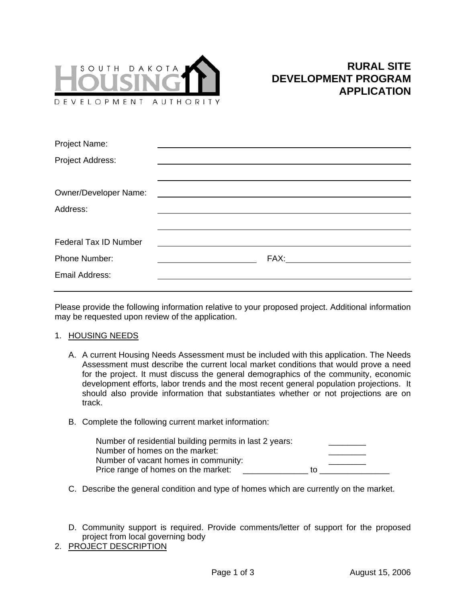

| Project Name:                |                                                                                                                                                                                                                                |
|------------------------------|--------------------------------------------------------------------------------------------------------------------------------------------------------------------------------------------------------------------------------|
| Project Address:             |                                                                                                                                                                                                                                |
|                              |                                                                                                                                                                                                                                |
| <b>Owner/Developer Name:</b> |                                                                                                                                                                                                                                |
| Address:                     |                                                                                                                                                                                                                                |
|                              |                                                                                                                                                                                                                                |
| <b>Federal Tax ID Number</b> |                                                                                                                                                                                                                                |
| <b>Phone Number:</b>         | FAX: The contract of the contract of the contract of the contract of the contract of the contract of the contract of the contract of the contract of the contract of the contract of the contract of the contract of the contr |
| <b>Email Address:</b>        |                                                                                                                                                                                                                                |
|                              |                                                                                                                                                                                                                                |

Please provide the following information relative to your proposed project. Additional information may be requested upon review of the application.

### 1. HOUSING NEEDS

- A. A current Housing Needs Assessment must be included with this application. The Needs Assessment must describe the current local market conditions that would prove a need for the project. It must discuss the general demographics of the community, economic development efforts, labor trends and the most recent general population projections. It should also provide information that substantiates whether or not projections are on track.
- B. Complete the following current market information:

| Number of residential building permits in last 2 years: |    |
|---------------------------------------------------------|----|
| Number of homes on the market:                          |    |
| Number of vacant homes in community:                    |    |
| Price range of homes on the market:                     | tΩ |

- C. Describe the general condition and type of homes which are currently on the market.
- D. Community support is required. Provide comments/letter of support for the proposed project from local governing body
- 2. PROJECT DESCRIPTION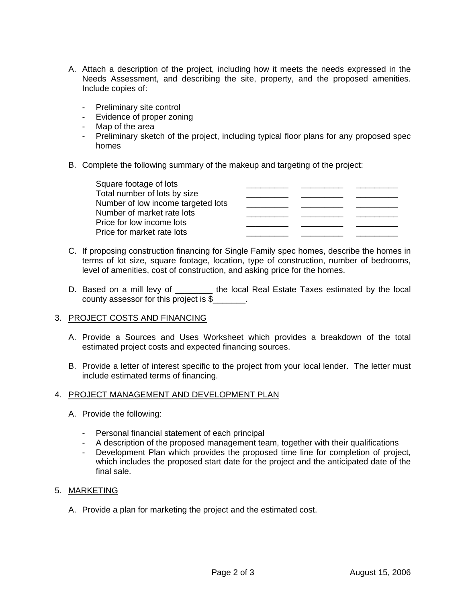- A. Attach a description of the project, including how it meets the needs expressed in the Needs Assessment, and describing the site, property, and the proposed amenities. Include copies of:
	- Preliminary site control
	- Evidence of proper zoning
	- Map of the area
	- Preliminary sketch of the project, including typical floor plans for any proposed spec homes
- B. Complete the following summary of the makeup and targeting of the project:

| Square footage of lots             |  |  |
|------------------------------------|--|--|
| Total number of lots by size       |  |  |
| Number of low income targeted lots |  |  |
| Number of market rate lots         |  |  |
| Price for low income lots          |  |  |
| Price for market rate lots         |  |  |

- C. If proposing construction financing for Single Family spec homes, describe the homes in terms of lot size, square footage, location, type of construction, number of bedrooms, level of amenities, cost of construction, and asking price for the homes.
- D. Based on a mill levy of \_\_\_\_\_\_\_\_ the local Real Estate Taxes estimated by the local county assessor for this project is \$\_\_\_\_\_\_\_.

# 3. PROJECT COSTS AND FINANCING

- A. Provide a Sources and Uses Worksheet which provides a breakdown of the total estimated project costs and expected financing sources.
- B. Provide a letter of interest specific to the project from your local lender. The letter must include estimated terms of financing.

### 4. PROJECT MANAGEMENT AND DEVELOPMENT PLAN

- A. Provide the following:
	- Personal financial statement of each principal
	- A description of the proposed management team, together with their qualifications
	- Development Plan which provides the proposed time line for completion of project, which includes the proposed start date for the project and the anticipated date of the final sale.

### 5. MARKETING

A. Provide a plan for marketing the project and the estimated cost.